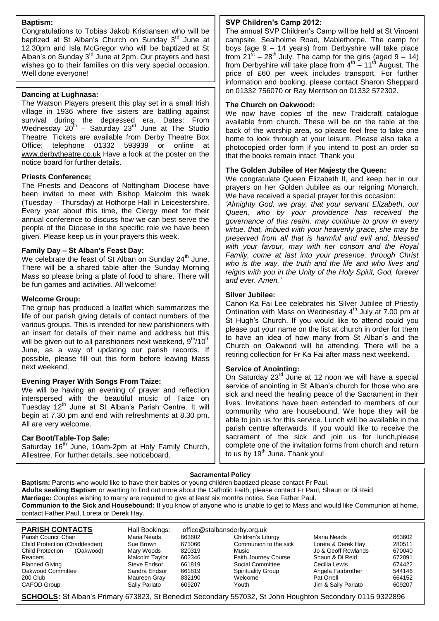#### **Baptism:**

Congratulations to Tobias Jakob Kristiansen who will be baptized at St Alban's Church on Sunday 3<sup>rd</sup> June at 12.30pm and Isla McGregor who will be baptized at St Alban's on Sunday 3<sup>rd</sup> June at 2pm. Our prayers and best wishes go to their families on this very special occasion. Well done everyone!

#### **Dancing at Lughnasa:**

The Watson Players present this play set in a small Irish village in 1936 where five sisters are battling against survival during the depressed era. Dates: From Wednesday 20 $^{\text{th}}$  – Saturday 23<sup>rd</sup> June at The Studio Theatre. Tickets are available from Derby Theatre Box Office; telephone 01332 593939 or online at [www.derbytheatre.co.uk](http://www.derbytheatre.co.uk/) Have a look at the poster on the notice board for further details.

#### **Priests Conference;**

The Priests and Deacons of Nottingham Diocese have been invited to meet with Bishop Malcolm this week (Tuesday – Thursday) at Hothorpe Hall in Leicestershire. Every year about this time, the Clergy meet for their annual conference to discuss how we can best serve the people of the Diocese in the specific role we have been given. Please keep us in your prayers this week.

#### **Family Day – St Alban's Feast Day:**

We celebrate the feast of St Alban on Sunday  $24<sup>th</sup>$  June. There will be a shared table after the Sunday Morning Mass so please bring a plate of food to share. There will be fun games and activities. All welcome!

#### **Welcome Group:**

The group has produced a leaflet which summarizes the life of our parish giving details of contact numbers of the various groups. This is intended for new parishioners with an insert for details of their name and address but this will be given out to all parishioners next weekend,  $9<sup>th</sup>/10<sup>th</sup>$ June, as a way of updating our parish records. If possible, please fill out this form before leaving Mass next weekend.

#### **Evening Prayer With Songs From Taize:**

We will be having an evening of prayer and reflection interspersed with the beautiful music of Taize on Tuesday 12<sup>th</sup> June at St Alban's Parish Centre. It will begin at 7.30 pm and end with refreshments at 8.30 pm. All are very welcome.

#### **Car Boot/Table-Top Sale:**

Saturday 16<sup>th</sup> June, 10am-2pm at Holy Family Church, Allestree. For further details, see noticeboard.

#### **SVP Children's Camp 2012:**

The annual SVP Children's Camp will be held at St Vincent campsite, Sealholme Road, Mablethorpe. The camp for boys (age 9 – 14 years) from Derbyshire will take place from  $21^{5t}$  – 28<sup>th</sup> July. The camp for the girls (aged  $9 - 14$ ) from Derbyshire will take place from  $4^{\text{th}} - 11^{\text{th}}$  August. The price of £60 per week includes transport. For further information and booking, please contact Sharon Sheppard on 01332 756070 or Ray Merrison on 01332 572302.

#### **The Church on Oakwood:**

We now have copies of the new Traidcraft catalogue available from church. These will be on the table at the back of the worship area, so please feel free to take one home to look through at your leisure. Please also take a photocopied order form if you intend to post an order so that the books remain intact. Thank you

#### **The Golden Jubilee of Her Majesty the Queen:**

We congratulate Queen Elizabeth II, and keep her in our prayers on her Golden Jubilee as our reigning Monarch. We have received a special prayer for this occasion:

*'Almighty God, we pray, that your servant Elizabeth, our Queen, who by your providence has received the governance of this realm, may continue to grow in every virtue, that, imbued with your heavenly grace, she may be preserved from all that is harmful and evil and, blessed with your favour, may with her consort and the Royal Family, come at last into your presence, through Christ who is the way, the truth and the life and who lives and reigns with you in the Unity of the Holy Spirit, God, forever and ever. Amen.'*

#### **Silver Jubilee:**

Canon Ka Fai Lee celebrates his Silver Jubilee of Priestly Ordination with Mass on Wednesday  $4<sup>th</sup>$  July at 7.00 pm at St Hugh's Church. If you would like to attend could you please put your name on the list at church in order for them to have an idea of how many from St Alban's and the Church on Oakwood will be attending. There will be a retiring collection for Fr Ka Fai after mass next weekend.

#### **Service of Anointing:**

On Saturday 23<sup>rd</sup> June at 12 noon we will have a special service of anointing in St Alban's church for those who are sick and need the healing peace of the Sacrament in their lives. Invitations have been extended to members of our community who are housebound. We hope they will be able to join us for this service. Lunch will be available in the parish centre afterwards. If you would like to receive the sacrament of the sick and join us for lunch,please complete one of the invitation forms from church and return to us by  $19<sup>th</sup>$  June. Thank you!

#### **Sacramental Policy**

**Baptism:** Parents who would like to have their babies or young children baptized please contact Fr Paul. **Adults seeking Baptism** or wanting to find out more about the Catholic Faith, please contact Fr Paul, Shaun or Di Reid. **Marriage:** Couples wishing to marry are required to give at least six months notice. See Father Paul. **Communion to the Sick and Housebound:** If you know of anyone who is unable to get to Mass and would like Communion at home, contact Father Paul, Loreta or Derek Hay.

| <b>PARISH CONTACTS</b>               | Hall Bookings: | office@stalbansderby.org.uk |                             |                     |        |
|--------------------------------------|----------------|-----------------------------|-----------------------------|---------------------|--------|
| Parish Council Chair                 | Maria Neads    | 663602                      | Children's Liturgy          | Maria Neads         | 663602 |
| Child Protection (Chaddesden)        | Sue Brown      | 673066                      | Communion to the sick       | Loreta & Derek Hay  | 280511 |
| <b>Child Protection</b><br>(Oakwood) | Mary Woods     | 820319                      | Music                       | Jo & Geoff Rowlands | 670040 |
| Readers                              | Malcolm Taylor | 602346                      | <b>Faith Journey Course</b> | Shaun & Di Reid     | 672091 |
| <b>Planned Giving</b>                | Steve Endsor   | 661819                      | Social Committee            | Cecilia Lewis       | 674422 |
| Oakwood Committee                    | Sandra Endsor  | 661819                      | Spirituality Group          | Angela Fairbrother  | 544146 |
| 200 Club                             | Maureen Gray   | 832190                      | Welcome                     | Pat Orrell          | 664152 |
| CAFOD Group                          | Sally Parlato  | 609207                      | Youth                       | Jim & Sally Parlato | 609207 |

**SCHOOLS:** St Alban's Primary 673823, St Benedict Secondary 557032, St John Houghton Secondary 0115 9322896